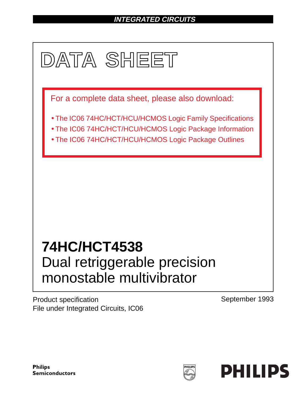# **INTEGRATED CIRCUITS**



Product specification File under Integrated Circuits, IC06 September 1993

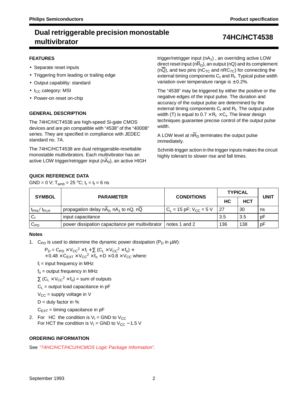#### **FEATURES**

- Separate reset inputs
- Triggering from leading or trailing edge
- Output capability: standard
- I<sub>CC</sub> category: MSI
- Power-on reset on-chip

### **GENERAL DESCRIPTION**

The 74HC/HCT4538 are high-speed Si-gate CMOS devices and are pin compatible with "4538" of the "4000B" series. They are specified in compliance with JEDEC standard no. 7A.

The 74HC/HCT4538 are dual retriggerable-resettable monostable multivibrators. Each multivibrator has an active LOW trigger/retrigger input  $(n\overline{A}_0)$ , an active HIGH trigger/retrigger input  $(nA<sub>1</sub>)$ , an overriding active LOW direct reset input ( $n\overline{R}_D$ ), an output (nQ) and its complement  $(n\overline{Q})$ , and two pins (nC<sub>TC</sub> and nRC<sub>TC</sub>) for connecting the external timing components  $C_t$  and  $R_t$ . Typical pulse width variation over temperature range is  $\pm$  0.2%.

The "4538" may be triggered by either the positive or the negative edges of the input pulse. The duration and accuracy of the output pulse are determined by the external timing components  $C_t$  and  $R_t$ . The output pulse width (T) is equal to  $0.7 \times R_t \times C_t$ . The linear design techniques guarantee precise control of the output pulse width.

A LOW level at  $n\overline{R}_D$  terminates the output pulse immediately.

Schmitt-trigger action in the trigger inputs makes the circuit highly tolerant to slower rise and fall times.

### **QUICK REFERENCE DATA**

GND = 0 V;  $T_{amb}$  = 25 °C;  $t_r = t_f = 6$  ns

| <b>SYMBOL</b>             | <b>PARAMETER</b>                                 | <b>CONDITIONS</b>                      | <b>TYPICAL</b> | <b>UNIT</b> |    |
|---------------------------|--------------------------------------------------|----------------------------------------|----------------|-------------|----|
|                           |                                                  |                                        | НC             | <b>HCT</b>  |    |
| $t_{\rm PHL}/t_{\rm PLH}$ | propagation delay $nA_0$ , $nA_1$ to $nQ$ , $nQ$ | $C_{L}$ = 15 pF; V <sub>CC</sub> = 5 V | -27            | 30          | ns |
| Cı                        | input capacitance                                |                                        | 3.5            | 3.5         | pF |
| $\mathtt{C_{PD}}$         | power dissipation capacitance per multivibrator  | notes 1 and 2                          | 136            | 138         | pF |

#### **Notes**

1. C<sub>PD</sub> is used to determine the dynamic power dissipation ( $P_D$  in  $\mu W$ ):

 $P_D = C_{PD} \times V_{CC}^2 \times f_i + \sum (C_L \times V_{CC}^2 \times f_o) +$ 

 $+ 0.48 \times C_{FXT} \times V_{CC}^2 \times f_0 + D \times 0.8 \times V_{CC}$  where:

 $f_i$  = input frequency in MHz

 $f<sub>o</sub>$  = output frequency in MHz

 $\Sigma$  (C<sub>L</sub> × V<sub>CC</sub><sup>2</sup> × f<sub>o</sub>) = sum of outputs

 $C_L$  = output load capacitance in pF

 $V_{CC}$  = supply voltage in V

 $D =$  duty factor in %

 $C_{EXT}$  = timing capacitance in pF

2. For HC the condition is  $V_1$  = GND to  $V_{CC}$ For HCT the condition is  $V_1$  = GND to  $V_{CC}$  – 1.5 V

### **ORDERING INFORMATION**

See "74HC/HCT/HCU/HCMOS Logic Package Information".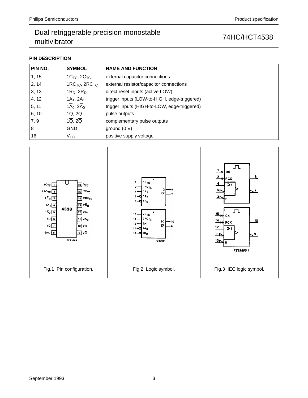## **PIN DESCRIPTION**

| PIN NO. | <b>SYMBOL</b>                         | <b>NAME AND FUNCTION</b>                     |
|---------|---------------------------------------|----------------------------------------------|
| 1, 15   | $1C_{TC}$ , $2C_{TC}$                 | external capacitor connections               |
| 2, 14   | $1RCTC$ , $2RCTC$                     | external resistor/capacitor connections      |
| 3, 13   | $1\overline{R}_D$ , $2\overline{R}_D$ | direct reset inputs (active LOW)             |
| 4, 12   | $1A_1, 2A_1$                          | trigger inputs (LOW-to-HIGH, edge-triggered) |
| 5, 11   | $1\overline{A}_0$ , $2\overline{A}_0$ | trigger inputs (HIGH-to-LOW, edge-triggered) |
| 6, 10   | 1Q, 2Q                                | pulse outputs                                |
| 7, 9    | $1\overline{Q}$ , $2\overline{Q}$     | complementary pulse outputs                  |
| 8       | <b>GND</b>                            | ground $(0 V)$                               |
| 16      | $V_{\rm CC}$                          | positive supply voltage                      |

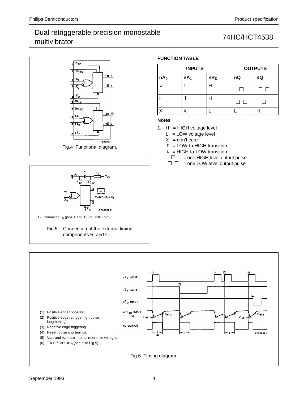# Dual retriggerable precision monostable Dual Temggerable precision monostable<br>multivibrator 74HC/HCT4538







## **FUNCTION TABLE**

|                   | <b>INPUTS</b>   |                   | <b>OUTPUTS</b> |                 |
|-------------------|-----------------|-------------------|----------------|-----------------|
| $n\overline{A}_0$ | nA <sub>1</sub> | $n\overline{R}_D$ | nQ             | $n\overline{Q}$ |
|                   |                 | Н                 |                |                 |
|                   |                 | Н                 |                |                 |
|                   |                 |                   |                |                 |

### **Notes**

1.  $H = HIGH$  voltage level

 $L = LOW$  voltage level

 $X = don't care$ 

↑ = LOW-to-HIGH transition

↓ = HIGH-to-LOW transition

 $\Box$  = one HIGH level output pulse

 $T =$  one LOW level output pulse

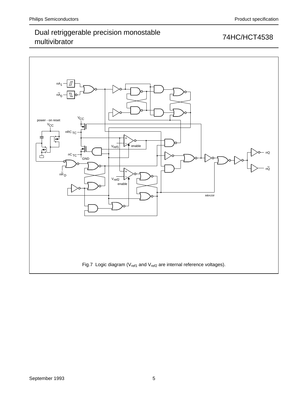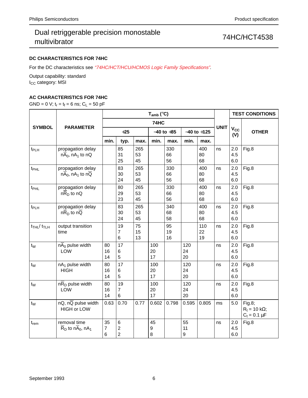## **DC CHARACTERISTICS FOR 74HC**

For the DC characteristics see "74HC/HCT/HCU/HCMOS Logic Family Specifications".

Output capability: standard I<sub>CC</sub> category: MSI

## **AC CHARACTERISTICS FOR 74HC**

GND = 0 V;  $t_r = t_f = 6$  ns;  $C_L = 50$  pF

|                                        |                                                                     |                           |                                         |                 | $T_{amb}$ (°C)  |                 |                              |                 |             |                     | <b>TEST CONDITIONS</b>                              |  |
|----------------------------------------|---------------------------------------------------------------------|---------------------------|-----------------------------------------|-----------------|-----------------|-----------------|------------------------------|-----------------|-------------|---------------------|-----------------------------------------------------|--|
|                                        |                                                                     |                           | 74HC                                    |                 |                 |                 |                              |                 |             |                     |                                                     |  |
| <b>SYMBOL</b>                          | <b>PARAMETER</b>                                                    |                           | $+25$                                   |                 |                 | $-40$ to $+85$  |                              | $-40$ to $+125$ | <b>UNIT</b> | $V_{\rm CC}$<br>(V) | <b>OTHER</b>                                        |  |
|                                        |                                                                     | min.                      | typ.                                    | max.            | min.            | max.            | min.                         | max.            |             |                     |                                                     |  |
| $t_{PLH}$                              | propagation delay<br>$nA_0$ , $nA_1$ to $nQ$                        |                           | 85<br>31<br>25                          | 265<br>53<br>45 |                 | 330<br>66<br>56 |                              | 400<br>80<br>68 | ns          | 2.0<br>4.5<br>6.0   | Fig.8                                               |  |
| t <sub>PHL</sub>                       | propagation delay<br>$n\overline{A}_0$ , n $A_1$ to $n\overline{Q}$ |                           | 83<br>30<br>24                          | 265<br>53<br>45 |                 | 330<br>66<br>56 |                              | 400<br>80<br>68 | ns          | 2.0<br>4.5<br>6.0   | Fig.8                                               |  |
| t <sub>PHL</sub>                       | propagation delay<br>$nR_D$ to nQ                                   |                           | 80<br>29<br>23                          | 265<br>53<br>45 |                 | 330<br>66<br>56 |                              | 400<br>80<br>68 | ns          | 2.0<br>4.5<br>6.0   | Fig.8                                               |  |
| t <sub>PLH</sub>                       | propagation delay<br>$n\overline{R}_D$ to $n\overline{Q}$           |                           | 83<br>30<br>24                          | 265<br>53<br>45 |                 | 340<br>68<br>58 |                              | 400<br>80<br>68 | ns          | 2.0<br>4.5<br>6.0   | Fig.8                                               |  |
| $t$ <sub>THL</sub> $/t$ <sub>TLH</sub> | output transition<br>time                                           |                           | 19<br>7<br>6                            | 75<br>15<br>13  |                 | 95<br>19<br>16  |                              | 110<br>22<br>19 | ns          | 2.0<br>4.5<br>6.0   | Fig.8                                               |  |
| $t_{W}$                                | $n\overline{A}_0$ pulse width<br><b>LOW</b>                         | 80<br>16<br>14            | 17<br>6<br>5                            |                 | 100<br>20<br>17 |                 | 120<br>24<br>20              |                 | ns          | 2.0<br>4.5<br>6.0   | Fig.8                                               |  |
| $t_W$                                  | $nA1$ pulse width<br><b>HIGH</b>                                    | 80<br>16<br>14            | 17<br>6<br>5                            |                 | 100<br>20<br>17 |                 | 120<br>24<br>20              |                 | ns          | 2.0<br>4.5<br>6.0   | Fig.8                                               |  |
| $t_{W}$                                | $n\overline{R}_D$ pulse width<br>LOW                                | 80<br>16<br>14            | 19<br>$\overline{7}$<br>6               |                 | 100<br>20<br>17 |                 | 120<br>24<br>20              |                 | ns          | 2.0<br>4.5<br>6.0   | Fig.8                                               |  |
| $t_{W}$                                | $nQ$ , $n\overline{Q}$ pulse width<br><b>HIGH or LOW</b>            | 0.63                      | 0.70                                    | 0.77            | 0.602           | 0.798           | 0.595                        | 0.805           | ms          | 5.0                 | Fig.8;<br>$R_t = 10 k\Omega$ ;<br>$C_t = 0.1 \mu F$ |  |
| $t_{rem}$                              | removal time<br>$\overline{R}_D$ to n $\overline{A}_0$ , n $A_1$    | 35<br>$\overline{7}$<br>6 | 6<br>$\boldsymbol{2}$<br>$\overline{2}$ |                 | 45<br>9<br>8    |                 | 55<br>11<br>$\boldsymbol{9}$ |                 | ns          | 2.0<br>4.5<br>6.0   | Fig.8                                               |  |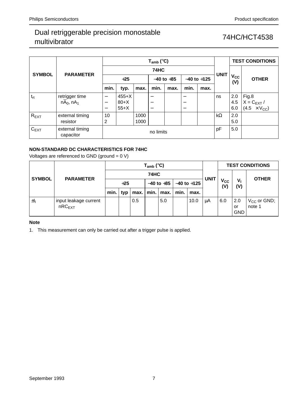|               | <b>PARAMETER</b>             |                          |           |      |                | <b>TEST CONDITIONS</b> |                          |             |                 |              |                       |
|---------------|------------------------------|--------------------------|-----------|------|----------------|------------------------|--------------------------|-------------|-----------------|--------------|-----------------------|
|               |                              | <b>74HC</b>              |           |      |                |                        |                          |             |                 |              |                       |
| <b>SYMBOL</b> |                              | $+25$                    |           |      | $-40$ to $+85$ |                        | $-40$ to $+125$          | <b>UNIT</b> | $V_{CC}$<br>(V) | <b>OTHER</b> |                       |
|               |                              | min.                     | typ.      | max. | min.           | max.                   | min.                     | max.        |                 |              |                       |
| $t_{rt}$      | retrigger time               |                          | $455+X$   |      |                |                        |                          |             | ns              | 2.0          | Fig.8                 |
|               | $n\overline{A}_0$ , $nA_1$   | $\overline{\phantom{m}}$ | $80+X$    |      |                |                        | $\overline{\phantom{m}}$ |             |                 | 4.5          | $X = C_{EXT}/$        |
|               |                              | $\overline{\phantom{0}}$ | $55+X$    |      |                |                        | $\overline{\phantom{m}}$ |             |                 | 6.0          | $(4.5 \times V_{CC})$ |
| $R_{EXT}$     | external timing              | 10                       |           | 1000 |                |                        |                          |             | $k\Omega$       | 2.0          |                       |
|               | resistor                     | 2                        |           | 1000 |                |                        |                          |             |                 | 5.0          |                       |
| $C_{EXT}$     | external timing<br>capacitor |                          | no limits |      |                |                        |                          |             |                 |              |                       |

## **NON-STANDARD DC CHARACTERISTICS FOR 74HC**

Voltages are referenced to GND (ground = 0 V)

| <b>SYMBOL</b> |                                             | $\mathsf{T}_{\mathsf{amb}}$ (°C) |       |     |      |                      |      |                 |             |                     | <b>TEST CONDITIONS</b>  |                            |  |
|---------------|---------------------------------------------|----------------------------------|-------|-----|------|----------------------|------|-----------------|-------------|---------------------|-------------------------|----------------------------|--|
|               | <b>PARAMETER</b>                            |                                  |       |     | 74HC |                      |      |                 | <b>UNIT</b> |                     |                         | <b>OTHER</b>               |  |
|               |                                             |                                  | $+25$ |     |      | $-40$ to $+85$       |      | $-40$ to $+125$ |             | $V_{\rm CC}$<br>(V) | V,<br>(V)               |                            |  |
|               |                                             | min.                             | typ   |     |      | $max.$   min.   max. | min. | max.            |             |                     |                         |                            |  |
| ±Ι            | input leakage current<br>nRC <sub>EXT</sub> |                                  |       | 0.5 |      | 5.0                  |      | 10.0            | μA          | 6.0                 | 2.0<br>or<br><b>GND</b> | $V_{CC}$ or GND;<br>note 1 |  |

### **Note**

1. This measurement can only be carried out after a trigger pulse is applied.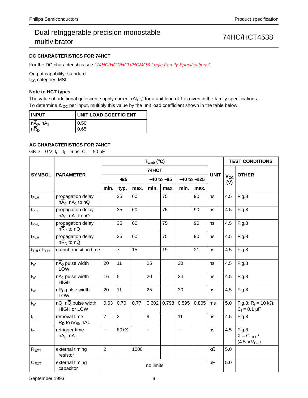### **DC CHARACTERISTICS FOR 74HCT**

For the DC characteristics see "74HC/HCT/HCU/HCMOS Logic Family Specifications".

Output capability: standard I<sub>CC</sub> category: MSI

### **Note to HCT types**

The value of additional quiescent supply current ( $\Delta l_{CC}$ ) for a unit load of 1 is given in the family specifications. To determine ∆I<sub>CC</sub> per input, multiply this value by the unit load coefficient shown in the table below.

| <b>INPUT</b>                                             | UNIT LOAD COEFFICIENT |
|----------------------------------------------------------|-----------------------|
| $n\overline{A}_0$ , nA <sub>1</sub><br>$n\overline{R}_D$ | 0.50                  |
|                                                          | 0.65                  |

### **AC CHARACTERISTICS FOR 74HCT**

|                                        |                                                                      |                          |                |      | $T_{amb}$ (°C)           |                |                          | <b>TEST CONDITIONS</b> |             |                              |                                                     |
|----------------------------------------|----------------------------------------------------------------------|--------------------------|----------------|------|--------------------------|----------------|--------------------------|------------------------|-------------|------------------------------|-----------------------------------------------------|
| <b>SYMBOL</b>                          | <b>PARAMETER</b>                                                     |                          |                |      | 74HCT                    |                |                          |                        | <b>UNIT</b> |                              | <b>OTHER</b>                                        |
|                                        |                                                                      |                          | $+25$          |      |                          | $-40$ to $+85$ |                          | $-40$ to $+125$        |             | <b>V<sub>cc</sub></b><br>(V) |                                                     |
|                                        |                                                                      | min.                     | typ.           | max. | min.                     | max.           | min.                     | max.                   |             |                              |                                                     |
| t <sub>PLH</sub>                       | propagation delay<br>$nA_0$ , $nA_1$ to $nQ$                         |                          | 35             | 60   |                          | 75             |                          | 90                     | ns          | 4.5                          | Fig.8                                               |
| t <sub>PHL</sub>                       | propagation delay<br>$n\overline{A}_0$ , n $A_1$ to n $\overline{Q}$ |                          | 35             | 60   |                          | 75             |                          | 90                     | ns          | 4.5                          | Fig.8                                               |
| t <sub>PHL</sub>                       | propagation delay<br>$nR_D$ to nQ                                    |                          | 35             | 60   |                          | 75             |                          | 90                     | ns          | 4.5                          | Fig.8                                               |
| t <sub>PLH</sub>                       | propagation delay<br>$n\overline{R}_D$ to $n\overline{Q}$            |                          | 35             | 60   |                          | 75             |                          | 90                     | ns          | 4.5                          | Fig.8                                               |
| $t$ <sub>THL</sub> $/t$ <sub>TLH</sub> | output transition time                                               |                          | $\overline{7}$ | 15   |                          | 19             |                          | 21                     | ns          | 4.5                          | Fig.8                                               |
| $t_{W}$                                | $n\overline{A}_0$ pulse width<br>LOW                                 | 20                       | 11             |      | 25                       |                | 30                       |                        | ns          | 4.5                          | Fig.8                                               |
| $t_W$                                  | $nA1$ pulse width<br><b>HIGH</b>                                     | 16                       | 5              |      | 20                       |                | 24                       |                        | ns          | 4.5                          | Fig.8                                               |
| t <sub>w</sub>                         | nR <sub>D</sub> pulse width<br><b>LOW</b>                            | 20                       | 11             |      | 25                       |                | 30                       |                        | ns          | 4.5                          | Fig.8                                               |
| $t_{\rm W}$                            | $nQ$ , $n\overline{Q}$ pulse width<br><b>HIGH or LOW</b>             | 0.63                     | 0.70           | 0.77 | 0.602                    | 0.798          | 0.595                    | 0.805                  | ms          | 5.0                          | Fig.8; R <sub>t</sub> = 10 kΩ;<br>$C_t = 0.1 \mu F$ |
| $t_{rem}$                              | removal time<br>$\overline{R}_{D}$ to n $\overline{A}_{0}$ , nA1     | $\overline{7}$           | $\overline{2}$ |      | 9                        |                | 11                       |                        | ns          | 4.5                          | Fig.8                                               |
| $t_{rt}$                               | retrigger time<br>$nA_0$ , $nA_1$                                    | $\overline{\phantom{0}}$ | $80+X$         |      | $\overline{\phantom{0}}$ |                | $\overline{\phantom{0}}$ |                        | ns          | 4.5                          | Fig.8<br>$X = C_{EXT} /$<br>$(4.5 \times V_{CC})$   |
| $R_{EXT}$                              | external timing<br>resistor                                          | $\overline{2}$           |                | 1000 |                          |                |                          |                        | $k\Omega$   | 5.0                          |                                                     |
| $C_{EXT}$                              | external timing<br>capacitor                                         |                          | no limits      |      |                          |                |                          |                        |             | 5.0                          |                                                     |

GND = 0 V;  $t_r = t_f = 6$  ns;  $C_L = 50$  pF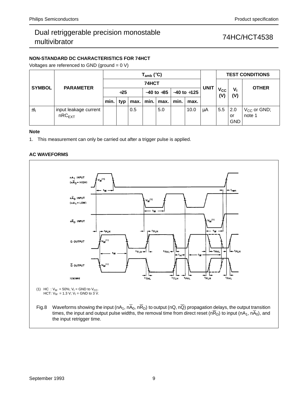# Dual retriggerable precision monostable Dual Temggerable precision monostable<br>multivibrator 74HC/HCT4538

### **NON-STANDARD DC CHARACTERISTICS FOR 74HCT**

Voltages are referenced to GND (ground = 0 V)

| <b>SYMBOL</b> | <b>PARAMETER</b>                            | $T_{amb}$ (°C) |       |      |  |                |      |                 |             | <b>TEST CONDITIONS</b>            |                         |                            |  |
|---------------|---------------------------------------------|----------------|-------|------|--|----------------|------|-----------------|-------------|-----------------------------------|-------------------------|----------------------------|--|
|               |                                             | 74HCT          |       |      |  |                |      |                 | <b>UNIT</b> |                                   |                         | <b>OTHER</b>               |  |
|               |                                             |                | $+25$ |      |  | $-40$ to $+85$ |      | $-40$ to $+125$ |             | $\mathsf{v}_{\mathsf{cc}}$<br>(V) | $V_{1}$<br>(V)          |                            |  |
|               |                                             | min.           | typ   | max. |  | min.   max.    | min. | max.            |             |                                   |                         |                            |  |
| ±h            | input leakage current<br>nRC <sub>EXT</sub> |                |       | 0.5  |  | 5.0            |      | 10.0            | μA          | 5.5                               | 2.0<br>or<br><b>GND</b> | $V_{CC}$ or GND;<br>note 1 |  |

#### **Note**

1. This measurement can only be carried out after a trigger pulse is applied.

#### **AC WAVEFORMS**

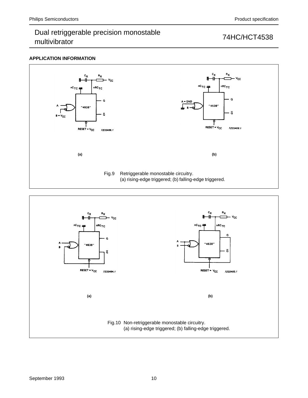### **APPLICATION INFORMATION**



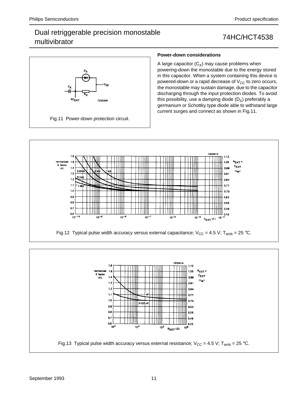# Dual retriggerable precision monostable Dual Temggerable precision monostable<br>multivibrator



### **Power-down considerations**

A large capacitor  $(C_X)$  may cause problems when powering-down the monostable due to the energy stored in this capacitor. When a system containing this device is powered-down or a rapid decrease of  $V_{CC}$  to zero occurs, the monostable may sustain damage, due to the capacitor discharging through the input protection diodes. To avoid this possibility, use a damping diode  $(D_X)$  preferably a germanium or Schottky type diode able to withstand large current surges and connect as shown in Fig.11.



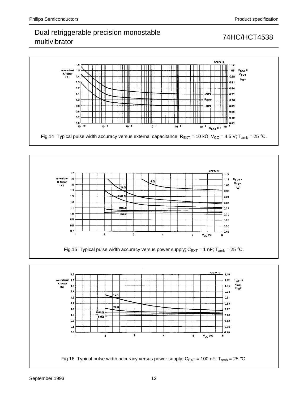# Dual retriggerable precision monostable Dual Temggerable precision monostable<br>multivibrator 74HC/HCT4538